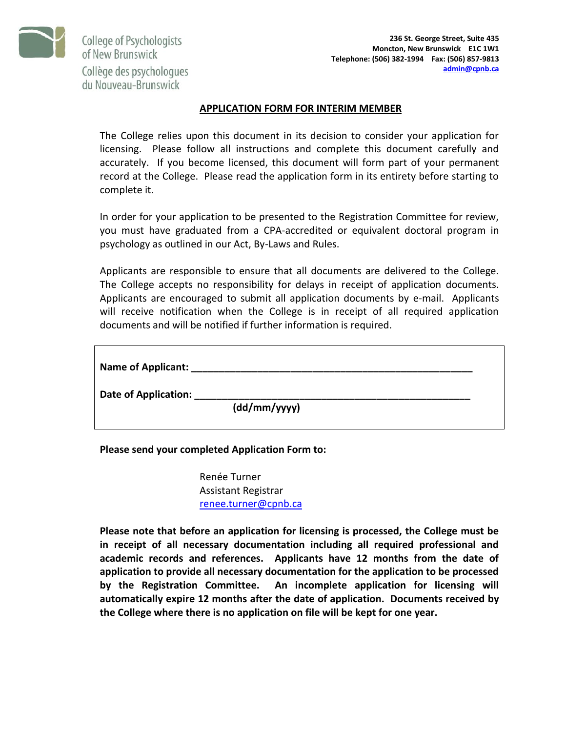

College of Psychologists of New Brunswick Collège des psychologues du Nouveau-Brunswick

#### **APPLICATION FORM FOR INTERIM MEMBER**

The College relies upon this document in its decision to consider your application for licensing. Please follow all instructions and complete this document carefully and accurately. If you become licensed, this document will form part of your permanent record at the College. Please read the application form in its entirety before starting to complete it.

In order for your application to be presented to the Registration Committee for review, you must have graduated from a CPA-accredited or equivalent doctoral program in psychology as outlined in our Act, By-Laws and Rules.

Applicants are responsible to ensure that all documents are delivered to the College. The College accepts no responsibility for delays in receipt of application documents. Applicants are encouraged to submit all application documents by e-mail. Applicants will receive notification when the College is in receipt of all required application documents and will be notified if further information is required.

| Name of Applicant:   |              |  |
|----------------------|--------------|--|
| Date of Application: | (dd/mm/yyyy) |  |

### **Please send your completed Application Form to:**

Renée Turner Assistant Registrar [renee.turner@cpnb.ca](mailto:renee.turner@cpnb.ca)

**Please note that before an application for licensing is processed, the College must be in receipt of all necessary documentation including all required professional and academic records and references. Applicants have 12 months from the date of application to provide all necessary documentation for the application to be processed by the Registration Committee. An incomplete application for licensing will automatically expire 12 months after the date of application. Documents received by the College where there is no application on file will be kept for one year.**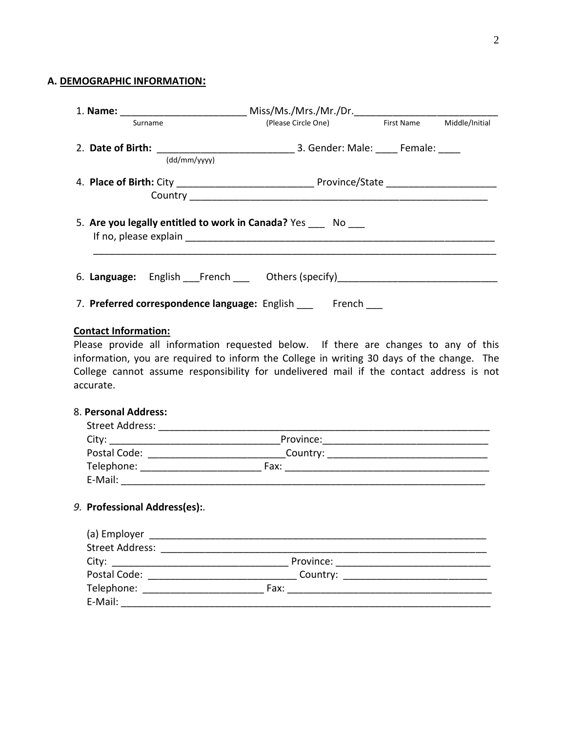# 2

# **A. DEMOGRAPHIC INFORMATION:**

| Surname                                                                                                                                                                                                                                                                                                          | (Please Circle One) First Name Middle/Initial |  |
|------------------------------------------------------------------------------------------------------------------------------------------------------------------------------------------------------------------------------------------------------------------------------------------------------------------|-----------------------------------------------|--|
| (dd/mm/yyyy)                                                                                                                                                                                                                                                                                                     |                                               |  |
|                                                                                                                                                                                                                                                                                                                  |                                               |  |
|                                                                                                                                                                                                                                                                                                                  |                                               |  |
| 5. Are you legally entitled to work in Canada? Yes ____ No ___                                                                                                                                                                                                                                                   |                                               |  |
| 6. Language: English French ___ Others (specify) _______________________________                                                                                                                                                                                                                                 |                                               |  |
| 7. Preferred correspondence language: English French                                                                                                                                                                                                                                                             |                                               |  |
| Please provide all information requested below. If there are changes to any of this<br>information, you are required to inform the College in writing 30 days of the change. The<br>College cannot assume responsibility for undelivered mail if the contact address is not<br>accurate.<br>8. Personal Address: |                                               |  |
|                                                                                                                                                                                                                                                                                                                  |                                               |  |
|                                                                                                                                                                                                                                                                                                                  |                                               |  |
| Postal Code: _______________________________Country: ___________________________                                                                                                                                                                                                                                 |                                               |  |
|                                                                                                                                                                                                                                                                                                                  |                                               |  |
| 9. Professional Address(es):                                                                                                                                                                                                                                                                                     |                                               |  |
|                                                                                                                                                                                                                                                                                                                  |                                               |  |
|                                                                                                                                                                                                                                                                                                                  |                                               |  |
|                                                                                                                                                                                                                                                                                                                  |                                               |  |
|                                                                                                                                                                                                                                                                                                                  |                                               |  |
|                                                                                                                                                                                                                                                                                                                  |                                               |  |
|                                                                                                                                                                                                                                                                                                                  |                                               |  |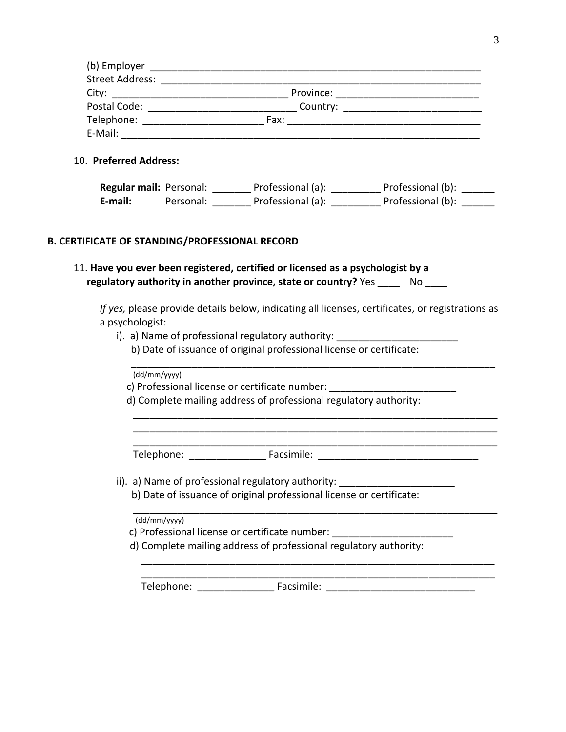| (b) Employer           |           |  |
|------------------------|-----------|--|
| <b>Street Address:</b> |           |  |
| City:                  | Province: |  |
| Postal Code:           | Country:  |  |
| Telephone:             | Fax:      |  |
| E-Mail:                |           |  |

#### 10. **Preferred Address:**

**Regular mail:** Personal: \_\_\_\_\_\_\_\_\_ Professional (a): \_\_\_\_\_\_\_\_\_\_ Professional (b): \_\_\_\_\_\_\_ **E-mail:** Personal: \_\_\_\_\_\_\_\_\_ Professional (a): \_\_\_\_\_\_\_\_\_\_\_ Professional (b): \_\_\_\_\_\_\_

#### **B. CERTIFICATE OF STANDING/PROFESSIONAL RECORD**

## 11. **Have you ever been registered, certified or licensed as a psychologist by a regulatory authority in another province, state or country?** Yes No

*If yes,* please provide details below, indicating all licenses, certificates, or registrations as a psychologist:

\_\_\_\_\_\_\_\_\_\_\_\_\_\_\_\_\_\_\_\_\_\_\_\_\_\_\_\_\_\_\_\_\_\_\_\_\_\_\_\_\_\_\_\_\_\_\_\_\_\_\_\_\_\_\_\_\_\_\_\_\_\_\_\_\_\_ \_\_\_\_\_\_\_\_\_\_\_\_\_\_\_\_\_\_\_\_\_\_\_\_\_\_\_\_\_\_\_\_\_\_\_\_\_\_\_\_\_\_\_\_\_\_\_\_\_\_\_\_\_\_\_\_\_\_\_\_\_\_\_\_\_\_ \_\_\_\_\_\_\_\_\_\_\_\_\_\_\_\_\_\_\_\_\_\_\_\_\_\_\_\_\_\_\_\_\_\_\_\_\_\_\_\_\_\_\_\_\_\_\_\_\_\_\_\_\_\_\_\_\_\_\_\_\_\_\_\_\_\_

- i). a) Name of professional regulatory authority:
	- b) Date of issuance of original professional license or certificate:

\_\_\_\_\_\_\_\_\_\_\_\_\_\_\_\_\_\_\_\_\_\_\_\_\_\_\_\_\_\_\_\_\_\_\_\_\_\_\_\_\_\_\_\_\_\_\_\_\_\_\_\_\_\_\_\_\_\_\_\_\_\_\_\_\_\_ (dd/mm/yyyy)

c) Professional license or certificate number:

d) Complete mailing address of professional regulatory authority:

Telephone: The Facsimile: The Facsimile:  $\frac{1}{2}$ 

ii). a) Name of professional regulatory authority: \_\_\_\_\_\_\_\_\_\_\_\_\_\_\_\_\_\_\_\_\_\_\_\_\_\_\_\_\_ b) Date of issuance of original professional license or certificate:

\_\_\_\_\_\_\_\_\_\_\_\_\_\_\_\_\_\_\_\_\_\_\_\_\_\_\_\_\_\_\_\_\_\_\_\_\_\_\_\_\_\_\_\_\_\_\_\_\_\_\_\_\_\_\_\_\_\_\_\_\_\_\_\_\_\_ (dd/mm/yyyy)

- c) Professional license or certificate number: \_\_\_\_\_\_\_\_\_\_\_\_\_\_\_\_\_\_\_\_\_\_\_\_\_\_\_\_\_\_\_\_\_
- d) Complete mailing address of professional regulatory authority:

Telephone: The Facsimile: Telephone: The Facsimile: The Second Second Second Second Second Second Second Second Second Second Second Second Second Second Second Second Second Second Second Second Second Second Second Secon

\_\_\_\_\_\_\_\_\_\_\_\_\_\_\_\_\_\_\_\_\_\_\_\_\_\_\_\_\_\_\_\_\_\_\_\_\_\_\_\_\_\_\_\_\_\_\_\_\_\_\_\_\_\_\_\_\_\_\_\_\_\_\_\_ \_\_\_\_\_\_\_\_\_\_\_\_\_\_\_\_\_\_\_\_\_\_\_\_\_\_\_\_\_\_\_\_\_\_\_\_\_\_\_\_\_\_\_\_\_\_\_\_\_\_\_\_\_\_\_\_\_\_\_\_\_\_\_\_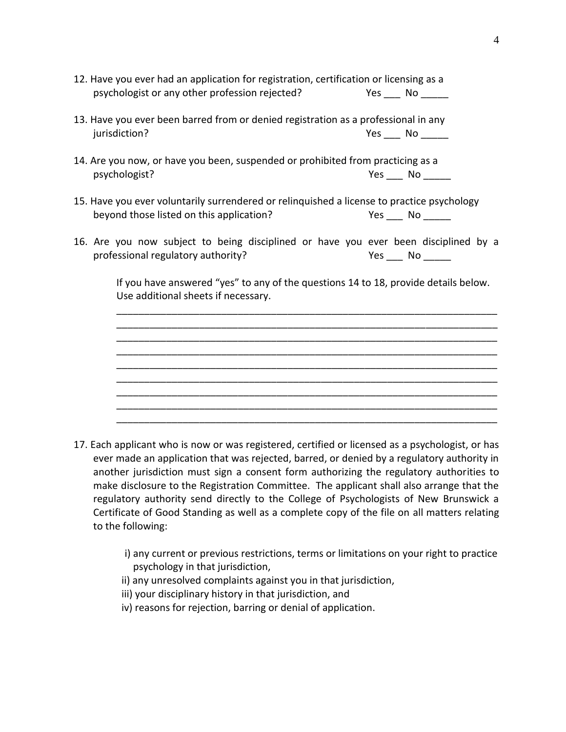| 12. Have you ever had an application for registration, certification or licensing as a<br>psychologist or any other profession rejected? | Yes $\_\_\_\$ No $\_\_\_\_\_\$ |
|------------------------------------------------------------------------------------------------------------------------------------------|--------------------------------|
| 13. Have you ever been barred from or denied registration as a professional in any<br>jurisdiction?                                      | Yes No                         |
| 14. Are you now, or have you been, suspended or prohibited from practicing as a<br>psychologist?                                         |                                |
| 15. Have you ever voluntarily surrendered or relinquished a license to practice psychology<br>beyond those listed on this application?   | $Yes$ No $\_\_$                |
| 16. Are you now subject to being disciplined or have you ever been disciplined by a<br>professional regulatory authority?                | $Yes$ No $\_\_\_\$             |
| If you have answered "yes" to any of the questions 14 to 18, provide details below.<br>Use additional sheets if necessary.               |                                |
|                                                                                                                                          |                                |
|                                                                                                                                          |                                |
|                                                                                                                                          |                                |

- 17. Each applicant who is now or was registered, certified or licensed as a psychologist, or has ever made an application that was rejected, barred, or denied by a regulatory authority in another jurisdiction must sign a consent form authorizing the regulatory authorities to make disclosure to the Registration Committee. The applicant shall also arrange that the regulatory authority send directly to the College of Psychologists of New Brunswick a Certificate of Good Standing as well as a complete copy of the file on all matters relating to the following:
	- i) any current or previous restrictions, terms or limitations on your right to practice psychology in that jurisdiction,
	- ii) any unresolved complaints against you in that jurisdiction,
	- iii) your disciplinary history in that jurisdiction, and
	- iv) reasons for rejection, barring or denial of application.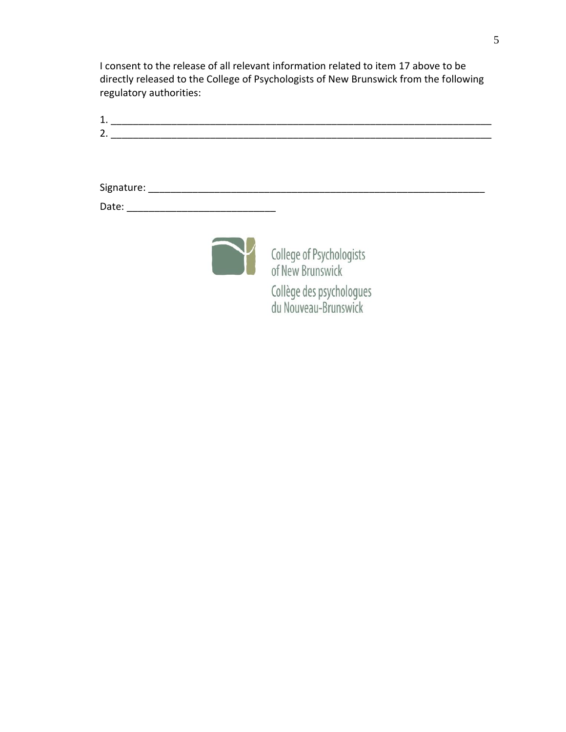I consent to the release of all relevant information related to item 17 above to be directly released to the College of Psychologists of New Brunswick from the following regulatory authorities:

| 1.                             |  |  |
|--------------------------------|--|--|
| 2.                             |  |  |
|                                |  |  |
|                                |  |  |
|                                |  |  |
| Signature:                     |  |  |
| Date: $\overline{\phantom{a}}$ |  |  |
|                                |  |  |
|                                |  |  |



**College of Psychologists**<br>
of New Brunswick Collège des psychologues<br>du Nouveau-Brunswick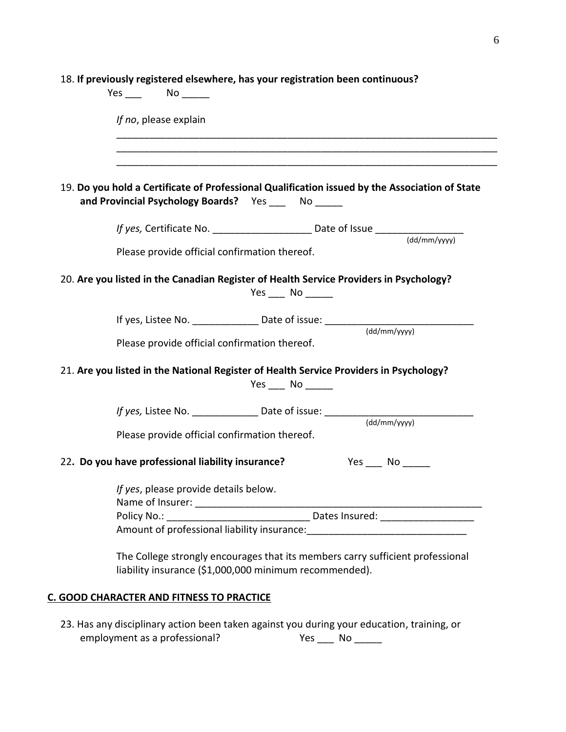| If no, please explain                                                                                                                                  |
|--------------------------------------------------------------------------------------------------------------------------------------------------------|
|                                                                                                                                                        |
| 19. Do you hold a Certificate of Professional Qualification issued by the Association of State<br>and Provincial Psychology Boards? Yes _____ No _____ |
| If yes, Certificate No. ________________________ Date of Issue _________________                                                                       |
| $\frac{1}{\text{(dd}/\text{mm}/\text{VV}}$<br>Please provide official confirmation thereof.                                                            |
| 20. Are you listed in the Canadian Register of Health Service Providers in Psychology?<br>Yes No                                                       |
| If yes, Listee No. _______________ Date of issue: ______________________________                                                                       |
| (dd/mm/yyyy)<br>Please provide official confirmation thereof.                                                                                          |
| 21. Are you listed in the National Register of Health Service Providers in Psychology?<br>Yes $\_\_\_\$ No $\_\_\_\_\_\$                               |
| If yes, Listee No. _______________ Date of issue: ______________________________                                                                       |
| (dd/mm/vyyy)<br>Please provide official confirmation thereof.                                                                                          |
| 22. Do you have professional liability insurance?<br>$Yes \_\_ No \_\_$                                                                                |
| If yes, please provide details below.                                                                                                                  |
|                                                                                                                                                        |
|                                                                                                                                                        |
|                                                                                                                                                        |
| The College strongly encourages that its members carry sufficient professional<br>liability insurance (\$1,000,000 minimum recommended).               |

23. Has any disciplinary action been taken against you during your education, training, or<br>employment as a professional?<br> $Yes$  No \_\_\_\_\_\_ employment as a professional?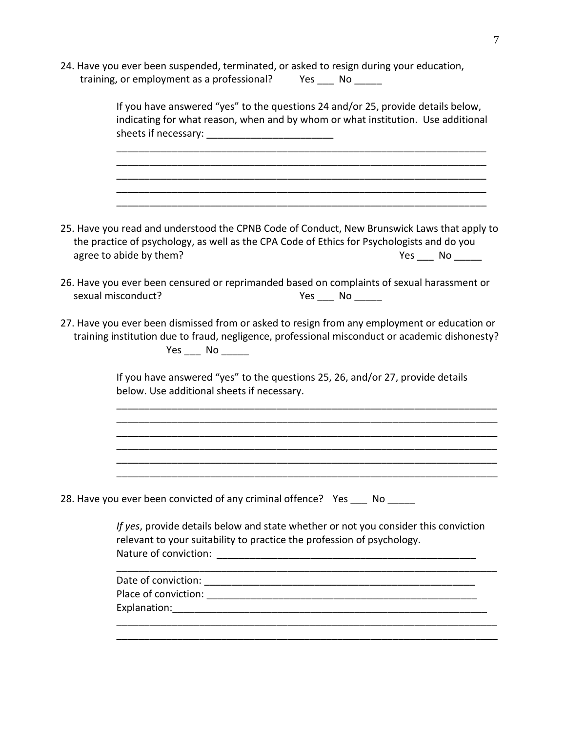24. Have you ever been suspended, terminated, or asked to resign during your education, training, or employment as a professional? Yes \_\_\_ No \_\_\_\_\_

| If you have answered "yes" to the questions 24 and/or 25, provide details below,<br>indicating for what reason, when and by whom or what institution. Use additional                                                                    |
|-----------------------------------------------------------------------------------------------------------------------------------------------------------------------------------------------------------------------------------------|
|                                                                                                                                                                                                                                         |
| 25. Have you read and understood the CPNB Code of Conduct, New Brunswick Laws that apply to<br>the practice of psychology, as well as the CPA Code of Ethics for Psychologists and do you<br>agree to abide by them?<br>$Yes$ No $\_\_$ |
| 26. Have you ever been censured or reprimanded based on complaints of sexual harassment or<br>sexual misconduct?<br>Yes $\_\_\_\$ No $\_\_\_\_\_\$                                                                                      |
| 27. Have you ever been dismissed from or asked to resign from any employment or education or<br>training institution due to fraud, negligence, professional misconduct or academic dishonesty?<br>$Yes$ No $\_\_\_\$                    |
| If you have answered "yes" to the questions 25, 26, and/or 27, provide details<br>below. Use additional sheets if necessary.                                                                                                            |
|                                                                                                                                                                                                                                         |
| 28. Have you ever been convicted of any criminal offence? Yes ___ No _____                                                                                                                                                              |
| If yes, provide details below and state whether or not you consider this conviction<br>relevant to your suitability to practice the profession of psychology.                                                                           |
|                                                                                                                                                                                                                                         |
|                                                                                                                                                                                                                                         |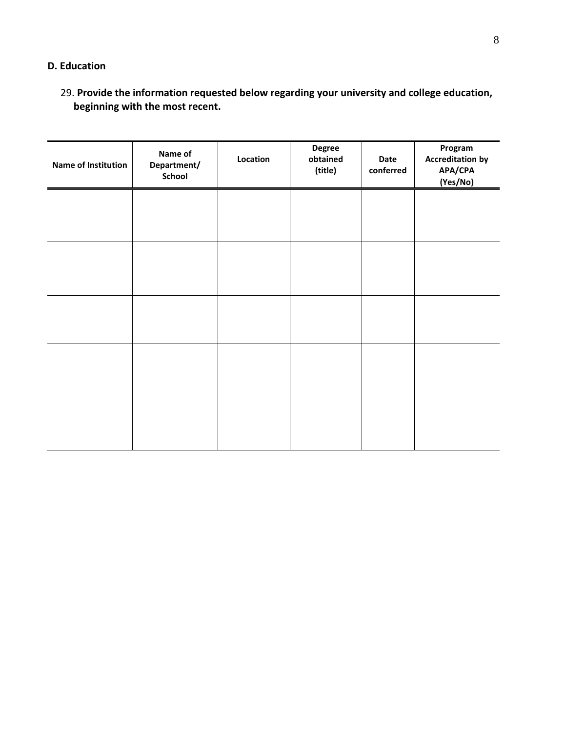# **D. Education**

29. **Provide the information requested below regarding your university and college education, beginning with the most recent.**

| Name of Institution | Name of<br>Department/<br>School | Location | <b>Degree</b><br>obtained<br>(title) | Date<br>conferred | Program<br><b>Accreditation by</b><br>APA/CPA<br>(Yes/No) |
|---------------------|----------------------------------|----------|--------------------------------------|-------------------|-----------------------------------------------------------|
|                     |                                  |          |                                      |                   |                                                           |
|                     |                                  |          |                                      |                   |                                                           |
|                     |                                  |          |                                      |                   |                                                           |
|                     |                                  |          |                                      |                   |                                                           |
|                     |                                  |          |                                      |                   |                                                           |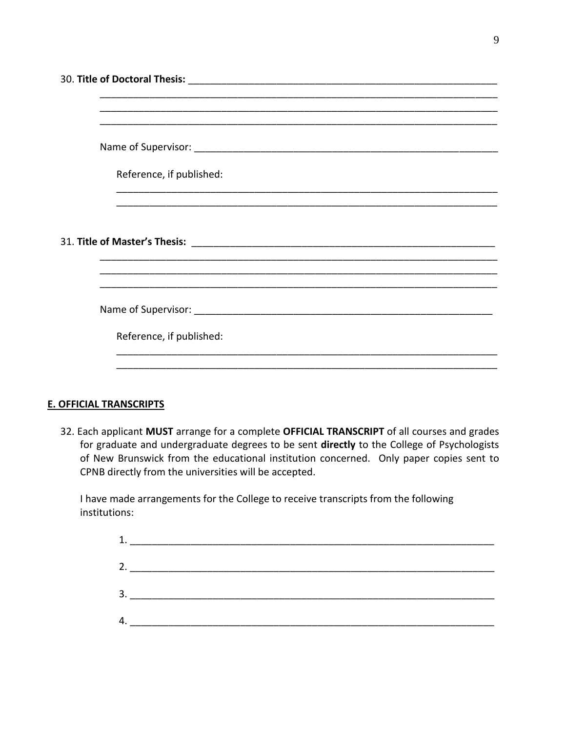| Reference, if published:                                                                                             |  |
|----------------------------------------------------------------------------------------------------------------------|--|
|                                                                                                                      |  |
|                                                                                                                      |  |
|                                                                                                                      |  |
|                                                                                                                      |  |
| <u> 1980 - Jan James James Jan James James James James James James James James James James James James James Jam</u> |  |
|                                                                                                                      |  |
|                                                                                                                      |  |

### **E. OFFICIAL TRANSCRIPTS**

32. Each applicant MUST arrange for a complete OFFICIAL TRANSCRIPT of all courses and grades for graduate and undergraduate degrees to be sent directly to the College of Psychologists of New Brunswick from the educational institution concerned. Only paper copies sent to CPNB directly from the universities will be accepted.

I have made arrangements for the College to receive transcripts from the following institutions:

| 1. |  |
|----|--|
| 2. |  |
|    |  |
| 3. |  |
|    |  |
|    |  |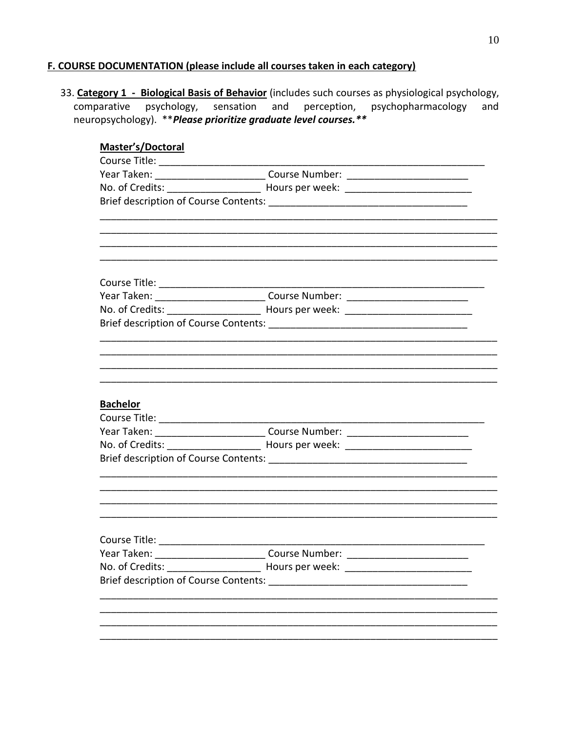# F. COURSE DOCUMENTATION (please include all courses taken in each category)

33. Category 1 - Biological Basis of Behavior (includes such courses as physiological psychology, comparative psychology, sensation and perception, psychopharmacology and neuropsychology). \*\* Please prioritize graduate level courses. \*\*

| Master's/Doctoral                            |                                                                                  |  |
|----------------------------------------------|----------------------------------------------------------------------------------|--|
|                                              |                                                                                  |  |
|                                              | Year Taken: ______________________________Course Number: _______________________ |  |
|                                              | No. of Credits: _________________________ Hours per week: ______________________ |  |
|                                              |                                                                                  |  |
|                                              |                                                                                  |  |
|                                              |                                                                                  |  |
|                                              |                                                                                  |  |
|                                              | Year Taken: _____________________________Course Number: ________________________ |  |
|                                              | No. of Credits: _________________________ Hours per week: ______________________ |  |
|                                              |                                                                                  |  |
|                                              |                                                                                  |  |
|                                              |                                                                                  |  |
| <b>Bachelor</b>                              |                                                                                  |  |
|                                              |                                                                                  |  |
|                                              | Year Taken: _______________________________Course Number: ______________________ |  |
|                                              | No. of Credits: _________________________ Hours per week: ______________________ |  |
|                                              |                                                                                  |  |
|                                              |                                                                                  |  |
|                                              |                                                                                  |  |
|                                              |                                                                                  |  |
| Year Taken:                                  | Course Number:                                                                   |  |
|                                              | No. of Credits: ________________________ Hours per week: _______________________ |  |
| <b>Brief description of Course Contents:</b> |                                                                                  |  |
|                                              |                                                                                  |  |
|                                              |                                                                                  |  |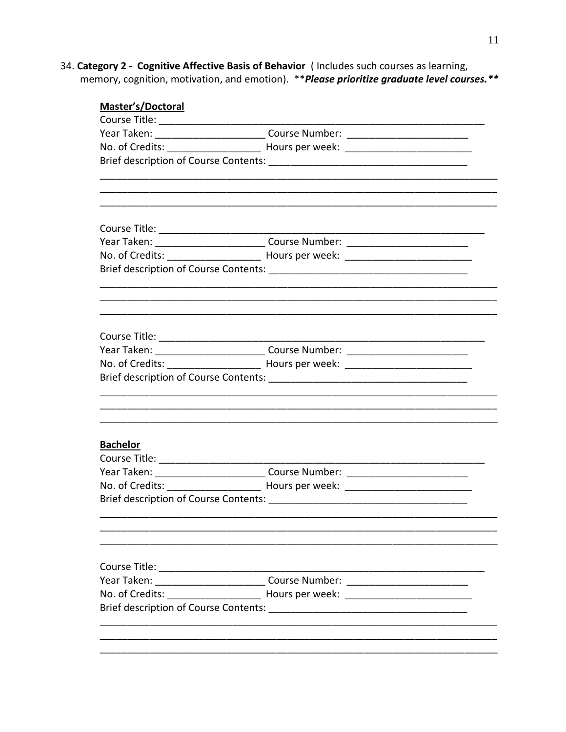34. Category 2 - Cognitive Affective Basis of Behavior (Includes such courses as learning, memory, cognition, motivation, and emotion). \*\* Please prioritize graduate level courses. \*\*

| Master's/Doctoral               |                                                                                   |  |
|---------------------------------|-----------------------------------------------------------------------------------|--|
| Course Title: _________________ |                                                                                   |  |
|                                 | Year Taken: ______________________________Course Number: _______________________  |  |
|                                 | No. of Credits: _________________________ Hours per week: _______________________ |  |
|                                 |                                                                                   |  |
|                                 |                                                                                   |  |
|                                 |                                                                                   |  |
|                                 | Year Taken: ______________________________Course Number: _______________________  |  |
|                                 | No. of Credits: _________________________ Hours per week: ______________________  |  |
|                                 |                                                                                   |  |
|                                 |                                                                                   |  |
|                                 |                                                                                   |  |
|                                 | Year Taken: ______________________________Course Number: _______________________  |  |
|                                 | No. of Credits: __________________________ Hours per week: _____________________  |  |
|                                 |                                                                                   |  |
|                                 |                                                                                   |  |
| <b>Bachelor</b>                 |                                                                                   |  |
|                                 |                                                                                   |  |
|                                 | Year Taken: _______________________________Course Number: ______________________  |  |
|                                 | No. of Credits: _________________________ Hours per week: ______________________  |  |
|                                 |                                                                                   |  |
|                                 |                                                                                   |  |
|                                 | Course Title: ____________________________Course Number: ________________________ |  |
|                                 | No. of Credits: ________________________ Hours per week: _______________________  |  |
|                                 |                                                                                   |  |
|                                 |                                                                                   |  |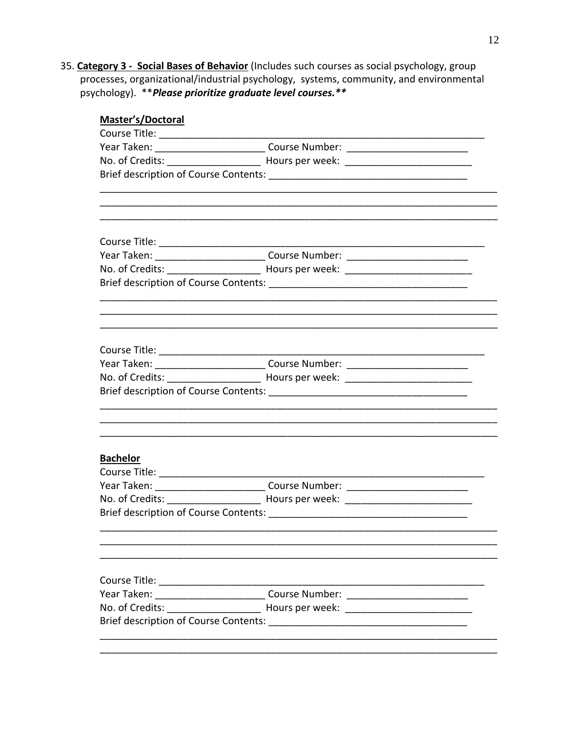35. Category 3 - Social Bases of Behavior (Includes such courses as social psychology, group processes, organizational/industrial psychology, systems, community, and environmental psychology). \*\* Please prioritize graduate level courses. \*\*

| Master's/Doctoral |                                                                                   |  |
|-------------------|-----------------------------------------------------------------------------------|--|
|                   |                                                                                   |  |
|                   | Year Taken: ______________________________Course Number: _______________________  |  |
|                   |                                                                                   |  |
|                   |                                                                                   |  |
|                   |                                                                                   |  |
|                   |                                                                                   |  |
|                   | Year Taken: _______________________________Course Number: ______________________  |  |
|                   |                                                                                   |  |
|                   |                                                                                   |  |
|                   |                                                                                   |  |
|                   |                                                                                   |  |
|                   | Year Taken: ______________________________Course Number: ________________________ |  |
|                   | No. of Credits: _________________________ Hours per week: _______________________ |  |
|                   |                                                                                   |  |
|                   |                                                                                   |  |
| <b>Bachelor</b>   |                                                                                   |  |
|                   |                                                                                   |  |
|                   | Year Taken: ______________________________Course Number: _______________________  |  |
|                   | No. of Credits: __________________________ Hours per week: _____________________  |  |
|                   |                                                                                   |  |
|                   |                                                                                   |  |
|                   |                                                                                   |  |
| Year Taken:       |                                                                                   |  |
|                   |                                                                                   |  |
|                   |                                                                                   |  |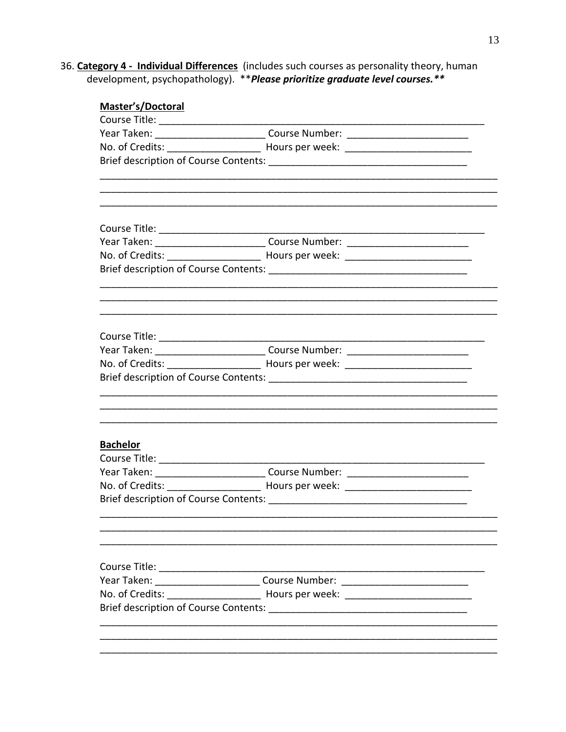36. Category 4 - Individual Differences (includes such courses as personality theory, human development, psychopathology). \*\* Please prioritize graduate level courses. \*\*

| <b>Master's/Doctoral</b>                   |                                                                                   |  |
|--------------------------------------------|-----------------------------------------------------------------------------------|--|
|                                            |                                                                                   |  |
|                                            | Year Taken: _______________________________Course Number: ______________________  |  |
|                                            | No. of Credits: _________________________ Hours per week: ______________________  |  |
|                                            |                                                                                   |  |
|                                            |                                                                                   |  |
|                                            |                                                                                   |  |
|                                            | Course Title: _____________________________Course Number: _______________________ |  |
|                                            | No. of Credits: ________________________ Hours per week: _______________________  |  |
|                                            |                                                                                   |  |
|                                            |                                                                                   |  |
|                                            |                                                                                   |  |
|                                            | Year Taken: ______________________________Course Number: _______________________  |  |
|                                            | No. of Credits: _________________________ Hours per week: ______________________  |  |
|                                            |                                                                                   |  |
|                                            |                                                                                   |  |
| <b>Bachelor</b>                            |                                                                                   |  |
|                                            |                                                                                   |  |
|                                            | Year Taken: _____________________________Course Number: ________________________  |  |
|                                            | No. of Credits: __________________________ Hours per week: ______________________ |  |
|                                            |                                                                                   |  |
|                                            |                                                                                   |  |
| Course Title: <u>_____________________</u> |                                                                                   |  |
|                                            | Year Taken: _____________________________Course Number: ________________________  |  |
|                                            |                                                                                   |  |
|                                            |                                                                                   |  |
|                                            |                                                                                   |  |
|                                            |                                                                                   |  |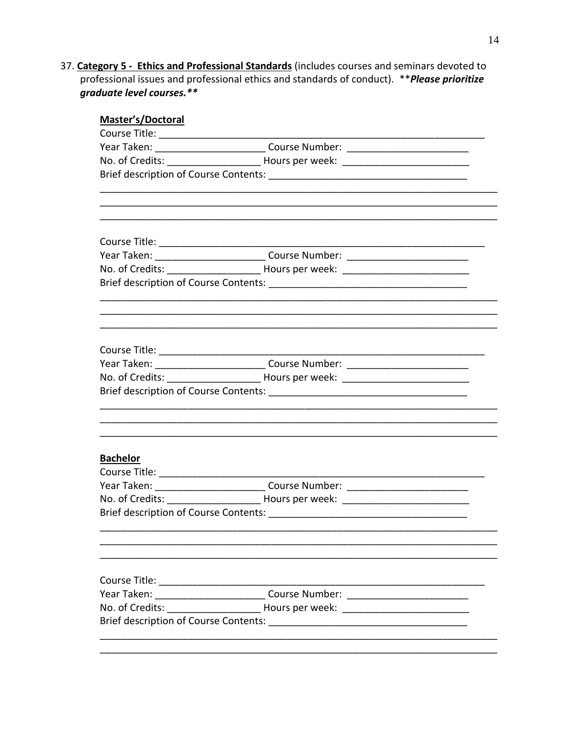37. Category 5 - Ethics and Professional Standards (includes courses and seminars devoted to professional issues and professional ethics and standards of conduct). \*\* Please prioritize graduate level courses.\*\*

| Master's/Doctoral |                                                                                  |  |
|-------------------|----------------------------------------------------------------------------------|--|
|                   |                                                                                  |  |
|                   | Year Taken: ______________________________Course Number: _______________________ |  |
|                   |                                                                                  |  |
|                   |                                                                                  |  |
|                   |                                                                                  |  |
|                   |                                                                                  |  |
|                   |                                                                                  |  |
|                   | Year Taken: ______________________________Course Number: _______________________ |  |
|                   |                                                                                  |  |
|                   |                                                                                  |  |
|                   |                                                                                  |  |
|                   |                                                                                  |  |
|                   |                                                                                  |  |
|                   | Year Taken: ______________________________Course Number: _______________________ |  |
|                   | No. of Credits: _________________________ Hours per week: ______________________ |  |
|                   |                                                                                  |  |
|                   |                                                                                  |  |
| <b>Bachelor</b>   |                                                                                  |  |
|                   |                                                                                  |  |
|                   | Year Taken: _____________________________Course Number: ________________________ |  |
|                   |                                                                                  |  |
|                   |                                                                                  |  |
|                   |                                                                                  |  |
|                   |                                                                                  |  |
|                   |                                                                                  |  |
| Year Taken:       |                                                                                  |  |
|                   |                                                                                  |  |
|                   |                                                                                  |  |
|                   |                                                                                  |  |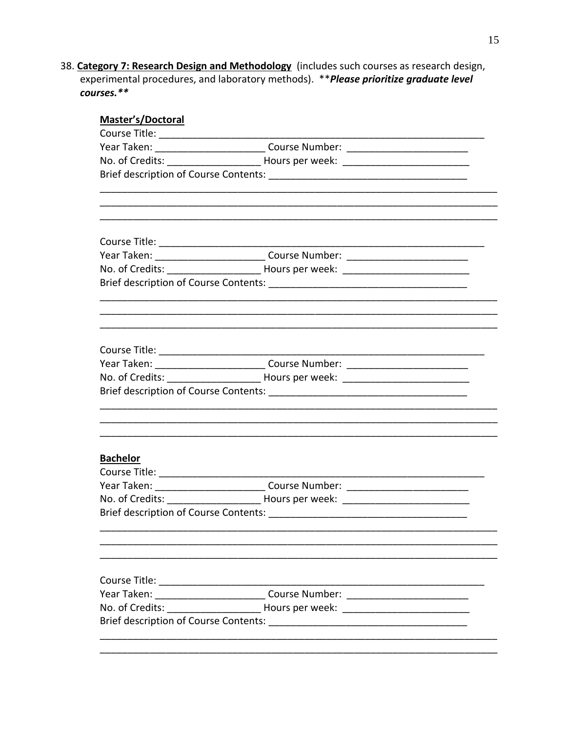38. Category 7: Research Design and Methodology (includes such courses as research design, experimental procedures, and laboratory methods). \*\* Please prioritize graduate level courses.\*\*

| Master's/Doctoral |                                                                                  |  |
|-------------------|----------------------------------------------------------------------------------|--|
|                   |                                                                                  |  |
|                   | Year Taken: ______________________________Course Number: _______________________ |  |
|                   | No. of Credits: _________________________ Hours per week: ______________________ |  |
|                   |                                                                                  |  |
|                   |                                                                                  |  |
|                   |                                                                                  |  |
|                   |                                                                                  |  |
|                   | Year Taken: ______________________________Course Number: _______________________ |  |
|                   | No. of Credits: __________________________ Hours per week: _____________________ |  |
|                   |                                                                                  |  |
|                   |                                                                                  |  |
|                   |                                                                                  |  |
|                   |                                                                                  |  |
|                   | Year Taken: _____________________________Course Number: ________________________ |  |
|                   | No. of Credits: _________________________ Hours per week: ______________________ |  |
|                   |                                                                                  |  |
|                   |                                                                                  |  |
| <b>Bachelor</b>   |                                                                                  |  |
|                   |                                                                                  |  |
|                   | Year Taken: ______________________________Course Number: _______________________ |  |
|                   |                                                                                  |  |
|                   |                                                                                  |  |
|                   |                                                                                  |  |
|                   |                                                                                  |  |
|                   |                                                                                  |  |
| Year Taken:       | <b>Course Number:</b> <u>Course 2001</u>                                         |  |
|                   |                                                                                  |  |
|                   |                                                                                  |  |
|                   |                                                                                  |  |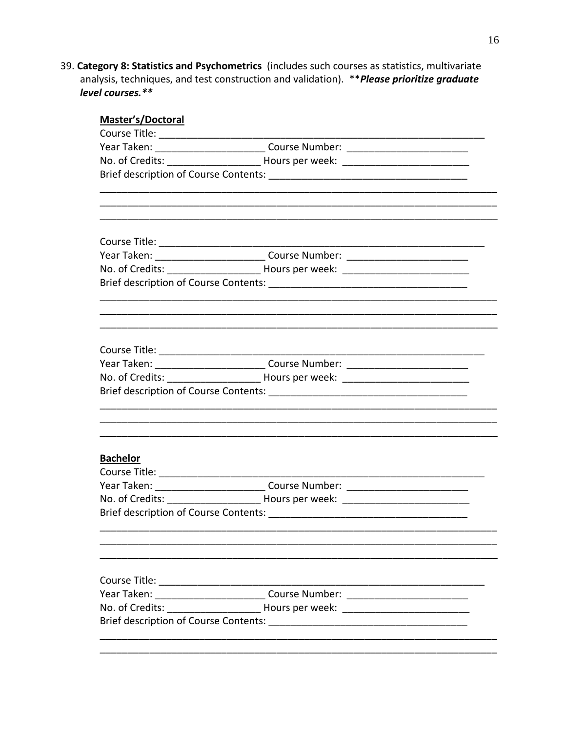39. Category 8: Statistics and Psychometrics (includes such courses as statistics, multivariate analysis, techniques, and test construction and validation). \*\* Please prioritize graduate level courses.\*\*

| <b>Master's/Doctoral</b>       |                                                                                   |  |
|--------------------------------|-----------------------------------------------------------------------------------|--|
| Course Title: ________________ |                                                                                   |  |
|                                | Year Taken: ______________________________Course Number: _______________________  |  |
|                                | No. of Credits: _________________________ Hours per week: ______________________  |  |
|                                |                                                                                   |  |
|                                |                                                                                   |  |
|                                |                                                                                   |  |
|                                | Year Taken: _______________________________Course Number: _______________________ |  |
|                                |                                                                                   |  |
|                                |                                                                                   |  |
|                                |                                                                                   |  |
|                                |                                                                                   |  |
|                                |                                                                                   |  |
|                                | Year Taken: ______________________________Course Number: _______________________  |  |
|                                | No. of Credits: _________________________ Hours per week: ______________________  |  |
|                                |                                                                                   |  |
|                                |                                                                                   |  |
| <b>Bachelor</b>                |                                                                                   |  |
|                                |                                                                                   |  |
|                                | Year Taken: _____________________________Course Number: ________________________  |  |
|                                | No. of Credits: _________________________ Hours per week: ______________________  |  |
|                                |                                                                                   |  |
|                                |                                                                                   |  |
|                                |                                                                                   |  |
|                                | Year Taken: ______________________________Course Number: _______________________  |  |
|                                | No. of Credits: __________________________ Hours per week: _____________________  |  |
|                                |                                                                                   |  |
|                                |                                                                                   |  |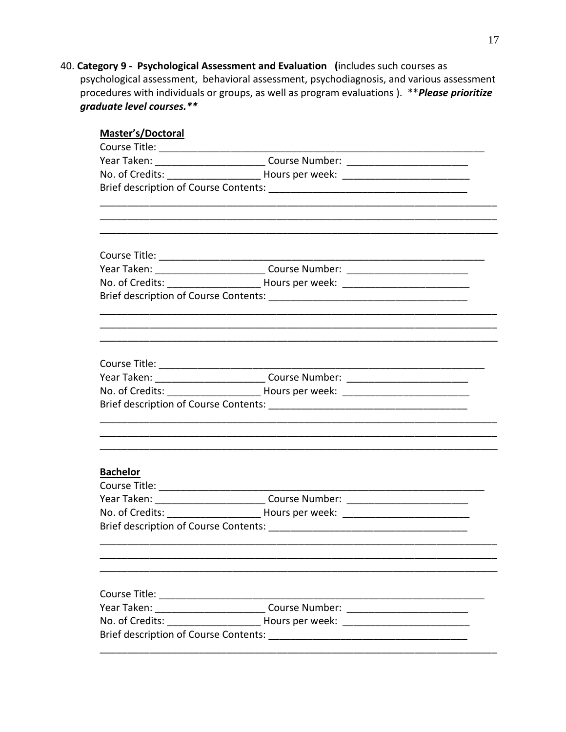40. Category 9 - Psychological Assessment and Evaluation (includes such courses as psychological assessment, behavioral assessment, psychodiagnosis, and various assessment procedures with individuals or groups, as well as program evaluations). \*\*Please prioritize graduate level courses.\*\*

| <b>Master's/Doctoral</b> |                                                                                   |  |
|--------------------------|-----------------------------------------------------------------------------------|--|
|                          |                                                                                   |  |
|                          | Year Taken: ______________________________Course Number: _______________________  |  |
|                          |                                                                                   |  |
|                          |                                                                                   |  |
|                          |                                                                                   |  |
|                          |                                                                                   |  |
|                          |                                                                                   |  |
|                          | Year Taken: ______________________________Course Number: _______________________  |  |
|                          | No. of Credits: __________________________ Hours per week: ______________________ |  |
|                          |                                                                                   |  |
|                          |                                                                                   |  |
|                          | Year Taken: ______________________________Course Number: _______________________  |  |
|                          |                                                                                   |  |
|                          |                                                                                   |  |
|                          |                                                                                   |  |
| <b>Bachelor</b>          |                                                                                   |  |
|                          |                                                                                   |  |
|                          | Year Taken: _____________________________Course Number: ________________________  |  |
|                          |                                                                                   |  |
|                          |                                                                                   |  |
|                          |                                                                                   |  |
|                          |                                                                                   |  |
|                          | Year Taken: _______________________________Course Number: ______________________  |  |
|                          | No. of Credits: __________________________ Hours per week: ______________________ |  |
|                          |                                                                                   |  |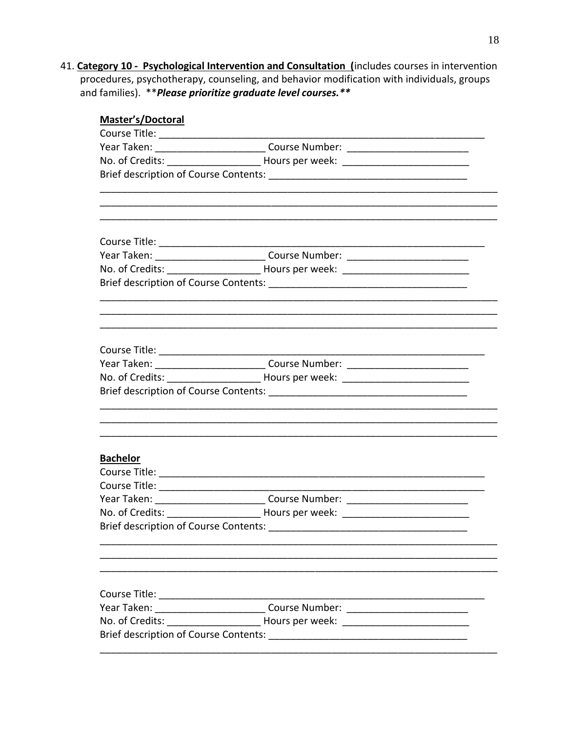41. Category 10 - Psychological Intervention and Consultation (includes courses in intervention procedures, psychotherapy, counseling, and behavior modification with individuals, groups and families). \*\* Please prioritize graduate level courses. \*\*

| Master's/Doctoral                                      |                                                                                  |  |
|--------------------------------------------------------|----------------------------------------------------------------------------------|--|
|                                                        |                                                                                  |  |
|                                                        | Year Taken: _______________________________Course Number: ______________________ |  |
|                                                        |                                                                                  |  |
|                                                        |                                                                                  |  |
|                                                        |                                                                                  |  |
|                                                        |                                                                                  |  |
|                                                        | Year Taken: ______________________________Course Number: _______________________ |  |
|                                                        |                                                                                  |  |
|                                                        |                                                                                  |  |
|                                                        |                                                                                  |  |
|                                                        |                                                                                  |  |
|                                                        | Year Taken: ______________________________Course Number: _______________________ |  |
|                                                        |                                                                                  |  |
|                                                        |                                                                                  |  |
|                                                        |                                                                                  |  |
|                                                        |                                                                                  |  |
|                                                        |                                                                                  |  |
| <b>Bachelor</b>                                        |                                                                                  |  |
|                                                        |                                                                                  |  |
|                                                        |                                                                                  |  |
|                                                        | Year Taken: ______________________________Course Number: _______________________ |  |
|                                                        | No. of Credits: ________________________ Hours per week: _______________________ |  |
| <b>Brief description of Course Contents:</b>           |                                                                                  |  |
|                                                        |                                                                                  |  |
| Course Title: <u>_________________________________</u> |                                                                                  |  |
|                                                        | Year Taken: ______________________________Course Number: _______________________ |  |
|                                                        |                                                                                  |  |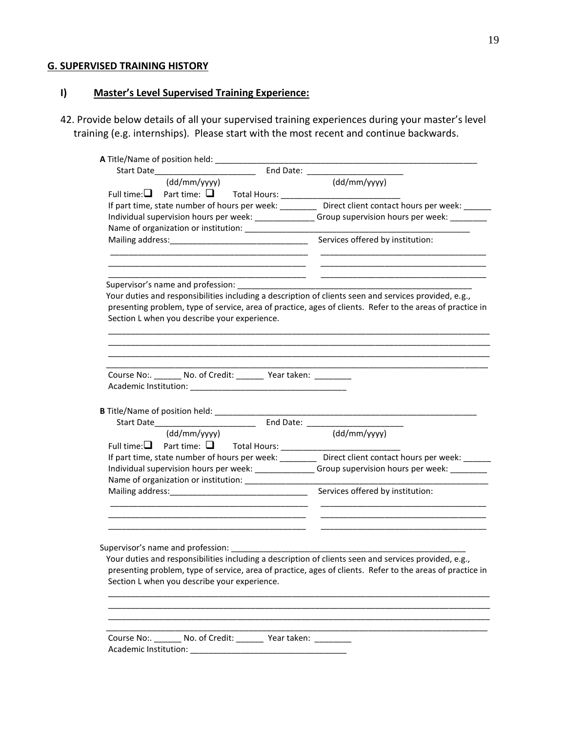### **G. SUPERVISED TRAINING HISTORY**

# **I) Master's Level Supervised Training Experience:**

42. Provide below details of all your supervised training experiences during your master's level training (e.g. internships). Please start with the most recent and continue backwards.

| A Title/Name of position held: __________                           |                                                                                                                                                                                                                    |
|---------------------------------------------------------------------|--------------------------------------------------------------------------------------------------------------------------------------------------------------------------------------------------------------------|
| Start Date________________________                                  |                                                                                                                                                                                                                    |
| (dd/mm/yyyy)                                                        | (dd/mm/yyyy)                                                                                                                                                                                                       |
|                                                                     |                                                                                                                                                                                                                    |
|                                                                     | If part time, state number of hours per week: __________ Direct client contact hours per week: ______                                                                                                              |
|                                                                     | Individual supervision hours per week: ________________Group supervision hours per week: __________                                                                                                                |
|                                                                     |                                                                                                                                                                                                                    |
|                                                                     | Services offered by institution:                                                                                                                                                                                   |
| Supervisor's name and profession: ___________                       | Your duties and responsibilities including a description of clients seen and services provided, e.g.,<br>presenting problem, type of service, area of practice, ages of clients. Refer to the areas of practice in |
| Section L when you describe your experience.                        |                                                                                                                                                                                                                    |
|                                                                     |                                                                                                                                                                                                                    |
| Course No:. ________ No. of Credit: ________ Year taken: __________ |                                                                                                                                                                                                                    |
|                                                                     |                                                                                                                                                                                                                    |
|                                                                     |                                                                                                                                                                                                                    |
|                                                                     |                                                                                                                                                                                                                    |
|                                                                     |                                                                                                                                                                                                                    |
| (dd/mm/yyyy)                                                        | (dd/mm/yyyy)                                                                                                                                                                                                       |
|                                                                     | If part time, state number of hours per week: __________ Direct client contact hours per week: _____                                                                                                               |
| Name of organization or institution: _________________              | Individual supervision hours per week: _______________Group supervision hours per week: _________                                                                                                                  |
|                                                                     | Services offered by institution:                                                                                                                                                                                   |
|                                                                     |                                                                                                                                                                                                                    |
| Supervisor's name and profession:                                   |                                                                                                                                                                                                                    |
|                                                                     | Your duties and responsibilities including a description of clients seen and services provided, e.g.,                                                                                                              |
|                                                                     | presenting problem, type of service, area of practice, ages of clients. Refer to the areas of practice in                                                                                                          |
| Section L when you describe your experience.                        |                                                                                                                                                                                                                    |
|                                                                     |                                                                                                                                                                                                                    |
|                                                                     |                                                                                                                                                                                                                    |
|                                                                     |                                                                                                                                                                                                                    |
|                                                                     |                                                                                                                                                                                                                    |
| Course No:. _______ No. of Credit: _______ Year taken: _________    |                                                                                                                                                                                                                    |
|                                                                     |                                                                                                                                                                                                                    |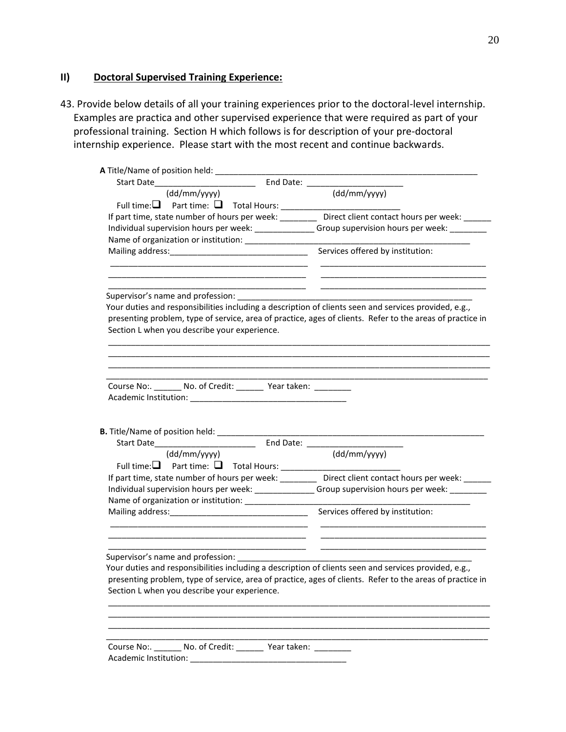### **II) Doctoral Supervised Training Experience:**

43. Provide below details of all your training experiences prior to the doctoral-level internship. Examples are practica and other supervised experience that were required as part of your professional training. Section H which follows is for description of your pre-doctoral internship experience. Please start with the most recent and continue backwards.

| A Title/Name of position held: __________________                                                                                                         |                                                                                                       |
|-----------------------------------------------------------------------------------------------------------------------------------------------------------|-------------------------------------------------------------------------------------------------------|
|                                                                                                                                                           |                                                                                                       |
| (dd/mm/yyyy)                                                                                                                                              | (dd/mm/yyyy)                                                                                          |
|                                                                                                                                                           |                                                                                                       |
| If part time, state number of hours per week: _________ Direct client contact hours per week: ______                                                      |                                                                                                       |
| Individual supervision hours per week: ________________Group supervision hours per week: __________                                                       |                                                                                                       |
|                                                                                                                                                           |                                                                                                       |
|                                                                                                                                                           | Services offered by institution:                                                                      |
| Supervisor's name and profession:<br>Your duties and responsibilities including a description of clients seen and services provided, e.g.,                |                                                                                                       |
| presenting problem, type of service, area of practice, ages of clients. Refer to the areas of practice in<br>Section L when you describe your experience. |                                                                                                       |
|                                                                                                                                                           |                                                                                                       |
|                                                                                                                                                           |                                                                                                       |
| Course No:. _______ No. of Credit: _______ Year taken: _______                                                                                            |                                                                                                       |
|                                                                                                                                                           |                                                                                                       |
|                                                                                                                                                           |                                                                                                       |
|                                                                                                                                                           |                                                                                                       |
|                                                                                                                                                           |                                                                                                       |
|                                                                                                                                                           |                                                                                                       |
| (dd/mm/yyyy)                                                                                                                                              | (dd/mm/yyyy)                                                                                          |
|                                                                                                                                                           |                                                                                                       |
|                                                                                                                                                           |                                                                                                       |
|                                                                                                                                                           |                                                                                                       |
| Individual supervision hours per week: _______________Group supervision hours per week: _________                                                         |                                                                                                       |
| Name of organization or institution: _________________                                                                                                    | If part time, state number of hours per week: __________ Direct client contact hours per week: ______ |
|                                                                                                                                                           |                                                                                                       |
|                                                                                                                                                           |                                                                                                       |
| Supervisor's name and profession:                                                                                                                         |                                                                                                       |
| Your duties and responsibilities including a description of clients seen and services provided, e.g.,                                                     |                                                                                                       |
|                                                                                                                                                           |                                                                                                       |
| presenting problem, type of service, area of practice, ages of clients. Refer to the areas of practice in<br>Section L when you describe your experience. |                                                                                                       |
|                                                                                                                                                           |                                                                                                       |
|                                                                                                                                                           |                                                                                                       |
|                                                                                                                                                           |                                                                                                       |
|                                                                                                                                                           |                                                                                                       |
| Course No:. ________ No. of Credit: ________ Year taken: _________<br>Academic Institution:                                                               |                                                                                                       |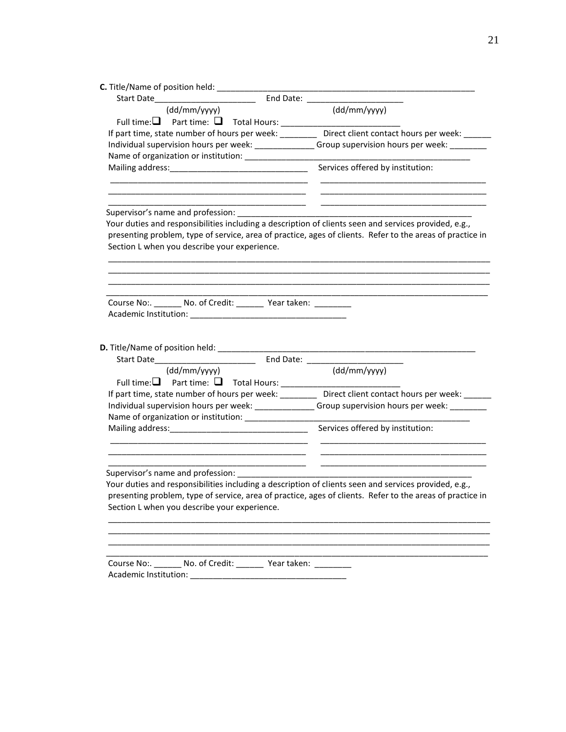| <b>C.</b> Title/Name of position held: _________                                                                                                          |                                                                                                                                                                                                                               |
|-----------------------------------------------------------------------------------------------------------------------------------------------------------|-------------------------------------------------------------------------------------------------------------------------------------------------------------------------------------------------------------------------------|
| Start Date                                                                                                                                                | End Date: The Contract of the Contract of the Contract of the Contract of the Contract of the Contract of the Contract of the Contract of the Contract of the Contract of the Contract of the Contract of the Contract of the |
| (dd/mm/yyyy)                                                                                                                                              | (dd/mm/yyyy)                                                                                                                                                                                                                  |
|                                                                                                                                                           |                                                                                                                                                                                                                               |
| If part time, state number of hours per week: __________ Direct client contact hours per week: ______                                                     |                                                                                                                                                                                                                               |
| Individual supervision hours per week: _______________Group supervision hours per week: _________                                                         |                                                                                                                                                                                                                               |
|                                                                                                                                                           |                                                                                                                                                                                                                               |
|                                                                                                                                                           | Services offered by institution:                                                                                                                                                                                              |
|                                                                                                                                                           |                                                                                                                                                                                                                               |
| Your duties and responsibilities including a description of clients seen and services provided, e.g.,                                                     |                                                                                                                                                                                                                               |
| presenting problem, type of service, area of practice, ages of clients. Refer to the areas of practice in<br>Section L when you describe your experience. |                                                                                                                                                                                                                               |
|                                                                                                                                                           |                                                                                                                                                                                                                               |
| Course No:. _______ No. of Credit: _______ Year taken: _________                                                                                          |                                                                                                                                                                                                                               |
|                                                                                                                                                           |                                                                                                                                                                                                                               |
|                                                                                                                                                           |                                                                                                                                                                                                                               |
|                                                                                                                                                           |                                                                                                                                                                                                                               |
| D. Title/Name of position held: ___________                                                                                                               |                                                                                                                                                                                                                               |
|                                                                                                                                                           |                                                                                                                                                                                                                               |
| (dd/mm/yyyy)                                                                                                                                              | (dd/mm/yyyy)                                                                                                                                                                                                                  |
|                                                                                                                                                           |                                                                                                                                                                                                                               |
| If part time, state number of hours per week: _________ Direct client contact hours per week: ______                                                      |                                                                                                                                                                                                                               |
| Individual supervision hours per week: _______________Group supervision hours per week: _________                                                         |                                                                                                                                                                                                                               |
|                                                                                                                                                           |                                                                                                                                                                                                                               |
|                                                                                                                                                           | Services offered by institution:                                                                                                                                                                                              |
|                                                                                                                                                           |                                                                                                                                                                                                                               |
| Supervisor's name and profession:                                                                                                                         |                                                                                                                                                                                                                               |
| Your duties and responsibilities including a description of clients seen and services provided, e.g.,                                                     |                                                                                                                                                                                                                               |
| presenting problem, type of service, area of practice, ages of clients. Refer to the areas of practice in                                                 |                                                                                                                                                                                                                               |
| Section L when you describe your experience.                                                                                                              |                                                                                                                                                                                                                               |
|                                                                                                                                                           |                                                                                                                                                                                                                               |
|                                                                                                                                                           |                                                                                                                                                                                                                               |
|                                                                                                                                                           |                                                                                                                                                                                                                               |
|                                                                                                                                                           |                                                                                                                                                                                                                               |
| Course No:. _______ No. of Credit: ________ Year taken: _________                                                                                         |                                                                                                                                                                                                                               |
|                                                                                                                                                           |                                                                                                                                                                                                                               |
|                                                                                                                                                           |                                                                                                                                                                                                                               |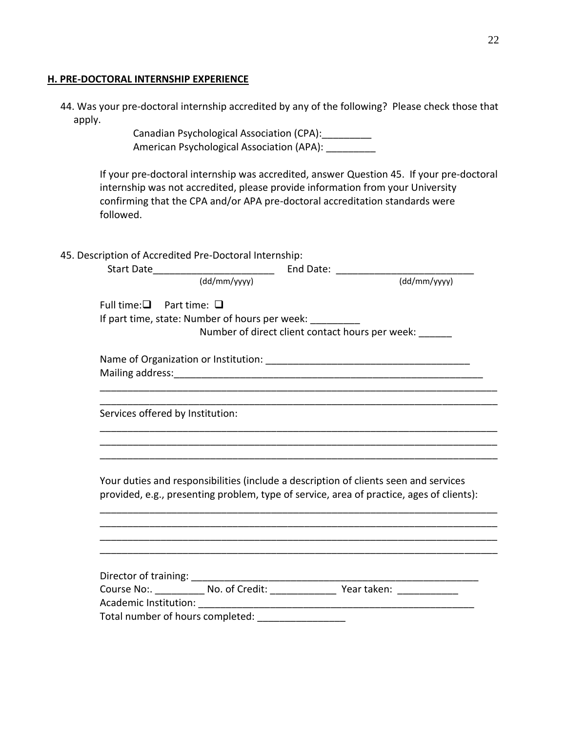#### **H. PRE-DOCTORAL INTERNSHIP EXPERIENCE**

| 44. Was your pre-doctoral internship accredited by any of the following? Please check those that |  |  |  |
|--------------------------------------------------------------------------------------------------|--|--|--|
| apply.                                                                                           |  |  |  |

Canadian Psychological Association (CPA):\_\_\_\_\_\_\_\_\_ American Psychological Association (APA): \_\_\_\_\_\_\_\_\_

If your pre-doctoral internship was accredited, answer Question 45. If your pre-doctoral internship was not accredited, please provide information from your University confirming that the CPA and/or APA pre-doctoral accreditation standards were followed.

45. Description of Accredited Pre-Doctoral Internship:

|                                     |                                                           | End Date: $\frac{1}{\text{(\ddot{d}/mm/yyyy)}}$                                                                                                                                  |
|-------------------------------------|-----------------------------------------------------------|----------------------------------------------------------------------------------------------------------------------------------------------------------------------------------|
| Full time: $\Box$ Part time: $\Box$ |                                                           |                                                                                                                                                                                  |
|                                     | If part time, state: Number of hours per week: __________ |                                                                                                                                                                                  |
|                                     |                                                           | Number of direct client contact hours per week:                                                                                                                                  |
|                                     |                                                           |                                                                                                                                                                                  |
|                                     |                                                           |                                                                                                                                                                                  |
|                                     |                                                           |                                                                                                                                                                                  |
| Services offered by Institution:    |                                                           |                                                                                                                                                                                  |
|                                     |                                                           |                                                                                                                                                                                  |
|                                     |                                                           |                                                                                                                                                                                  |
|                                     |                                                           | Your duties and responsibilities (include a description of clients seen and services<br>provided, e.g., presenting problem, type of service, area of practice, ages of clients): |
|                                     |                                                           |                                                                                                                                                                                  |
|                                     |                                                           |                                                                                                                                                                                  |
|                                     |                                                           |                                                                                                                                                                                  |
|                                     |                                                           |                                                                                                                                                                                  |
|                                     |                                                           |                                                                                                                                                                                  |
|                                     |                                                           | Course No:. ___________ No. of Credit: ________________ Year taken: ____________                                                                                                 |
|                                     |                                                           |                                                                                                                                                                                  |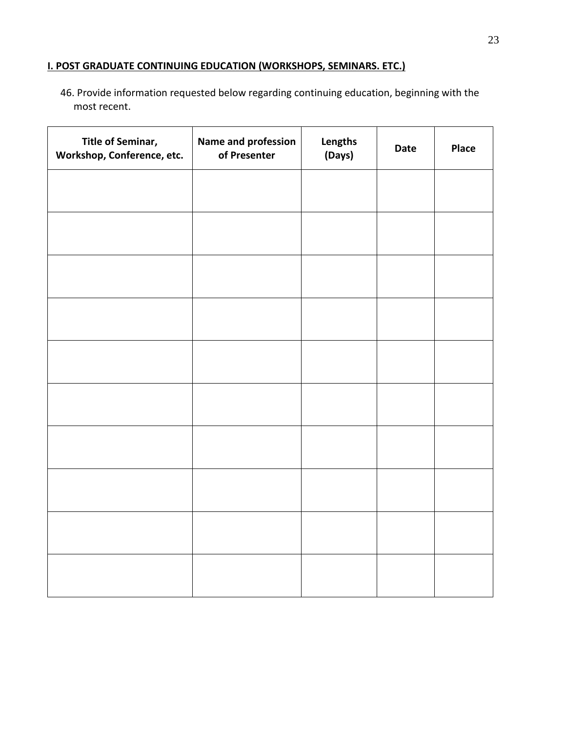# **I. POST GRADUATE CONTINUING EDUCATION (WORKSHOPS, SEMINARS. ETC.)**

46. Provide information requested below regarding continuing education, beginning with the most recent.

| Title of Seminar,<br>Workshop, Conference, etc. | Name and profession<br>of Presenter | Lengths<br>(Days) | Date | Place |
|-------------------------------------------------|-------------------------------------|-------------------|------|-------|
|                                                 |                                     |                   |      |       |
|                                                 |                                     |                   |      |       |
|                                                 |                                     |                   |      |       |
|                                                 |                                     |                   |      |       |
|                                                 |                                     |                   |      |       |
|                                                 |                                     |                   |      |       |
|                                                 |                                     |                   |      |       |
|                                                 |                                     |                   |      |       |
|                                                 |                                     |                   |      |       |
|                                                 |                                     |                   |      |       |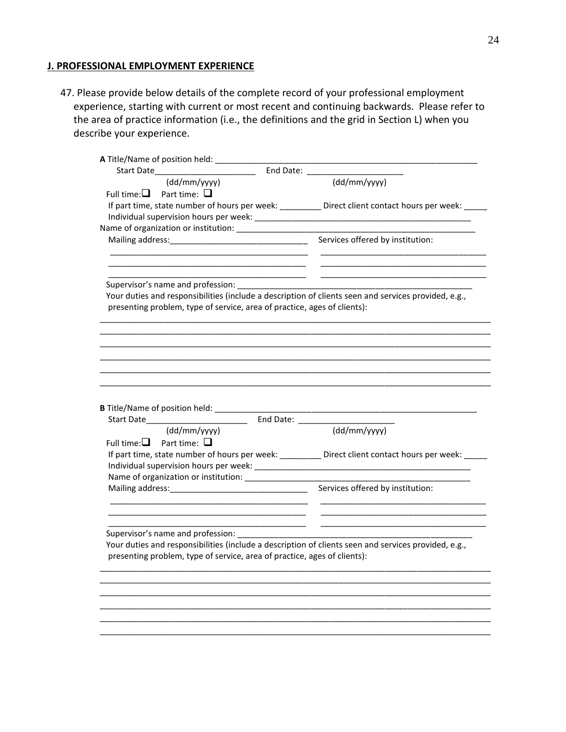#### **J. PROFESSIONAL EMPLOYMENT EXPERIENCE**

47. Please provide below details of the complete record of your professional employment experience, starting with current or most recent and continuing backwards. Please refer to the area of practice information (i.e., the definitions and the grid in Section L) when you describe your experience.

| <b>A</b> Title/Name of position held:                                                                 |                                                                                                                               |
|-------------------------------------------------------------------------------------------------------|-------------------------------------------------------------------------------------------------------------------------------|
| Start Date and the Start Date                                                                         |                                                                                                                               |
| (dd/mm/yyyy)                                                                                          | $\frac{1}{\text{(dd/mm/yyyy)}}$                                                                                               |
| Full time: $\Box$ Part time: $\Box$                                                                   |                                                                                                                               |
| If part time, state number of hours per week: __________ Direct client contact hours per week: _____  |                                                                                                                               |
|                                                                                                       |                                                                                                                               |
|                                                                                                       |                                                                                                                               |
|                                                                                                       |                                                                                                                               |
|                                                                                                       |                                                                                                                               |
|                                                                                                       | <u> 1989 - Johann John Stone, mars et al. 1989 - John Stone, mars et al. 1989 - John Stone, mars et al. 1989 - John Stone</u> |
|                                                                                                       |                                                                                                                               |
| Your duties and responsibilities (include a description of clients seen and services provided, e.g.,  |                                                                                                                               |
| presenting problem, type of service, area of practice, ages of clients):                              |                                                                                                                               |
|                                                                                                       |                                                                                                                               |
|                                                                                                       |                                                                                                                               |
|                                                                                                       |                                                                                                                               |
|                                                                                                       |                                                                                                                               |
|                                                                                                       |                                                                                                                               |
|                                                                                                       |                                                                                                                               |
| (dd/mm/yyyy)                                                                                          | (dd/mm/yyyy)                                                                                                                  |
| Full time: $\Box$ Part time: $\Box$                                                                   |                                                                                                                               |
| If part time, state number of hours per week: ___________ Direct client contact hours per week: _____ |                                                                                                                               |
|                                                                                                       |                                                                                                                               |
| Name of organization or institution: _________________                                                |                                                                                                                               |
|                                                                                                       |                                                                                                                               |
|                                                                                                       |                                                                                                                               |
|                                                                                                       | <u> 1989 - Johann Stoff, Amerikaansk politiker (</u>                                                                          |
| _____________________                                                                                 |                                                                                                                               |
| Supervisor's name and profession:                                                                     |                                                                                                                               |
| Your duties and responsibilities (include a description of clients seen and services provided, e.g.,  |                                                                                                                               |
| presenting problem, type of service, area of practice, ages of clients):                              |                                                                                                                               |
|                                                                                                       |                                                                                                                               |
|                                                                                                       |                                                                                                                               |
|                                                                                                       |                                                                                                                               |
|                                                                                                       |                                                                                                                               |
|                                                                                                       |                                                                                                                               |
|                                                                                                       |                                                                                                                               |
|                                                                                                       |                                                                                                                               |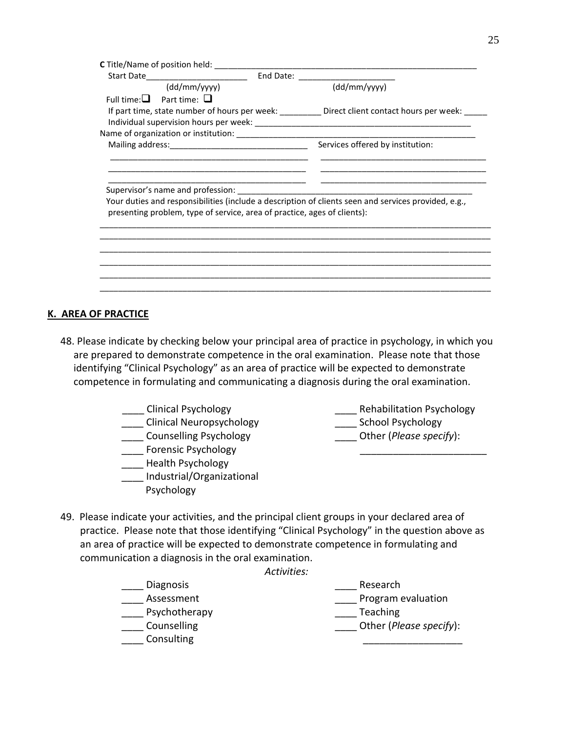| Start Date_______________________                                        |                                                                                                          |
|--------------------------------------------------------------------------|----------------------------------------------------------------------------------------------------------|
| $(dd/mm/$ yyyy $)$                                                       | (dd/mm/yyyy)                                                                                             |
| Full time: $\Box$ Part time: $\Box$                                      |                                                                                                          |
|                                                                          | If part time, state number of hours per week: _____________ Direct client contact hours per week: ______ |
|                                                                          |                                                                                                          |
|                                                                          |                                                                                                          |
|                                                                          | Services offered by institution:                                                                         |
|                                                                          |                                                                                                          |
|                                                                          |                                                                                                          |
|                                                                          |                                                                                                          |
|                                                                          |                                                                                                          |
|                                                                          | Your duties and responsibilities (include a description of clients seen and services provided, e.g.,     |
| presenting problem, type of service, area of practice, ages of clients): |                                                                                                          |
|                                                                          |                                                                                                          |
|                                                                          |                                                                                                          |
|                                                                          |                                                                                                          |
|                                                                          |                                                                                                          |
|                                                                          |                                                                                                          |
|                                                                          |                                                                                                          |
|                                                                          |                                                                                                          |

#### **K. AREA OF PRACTICE**

- 48. Please indicate by checking below your principal area of practice in psychology, in which you are prepared to demonstrate competence in the oral examination. Please note that those identifying "Clinical Psychology" as an area of practice will be expected to demonstrate competence in formulating and communicating a diagnosis during the oral examination.
	- \_\_\_\_ Clinical Psychology
	- \_\_\_\_ Clinical Neuropsychology
	- \_\_\_\_ Counselling Psychology
	- \_\_\_\_ Forensic Psychology
	- \_\_\_\_ Health Psychology
	- \_\_\_\_ Industrial/Organizational Psychology

\_\_\_\_ Rehabilitation Psychology

 $\overline{\phantom{a}}$  ,  $\overline{\phantom{a}}$  ,  $\overline{\phantom{a}}$  ,  $\overline{\phantom{a}}$  ,  $\overline{\phantom{a}}$  ,  $\overline{\phantom{a}}$  ,  $\overline{\phantom{a}}$  ,  $\overline{\phantom{a}}$  ,  $\overline{\phantom{a}}$  ,  $\overline{\phantom{a}}$  ,  $\overline{\phantom{a}}$  ,  $\overline{\phantom{a}}$  ,  $\overline{\phantom{a}}$  ,  $\overline{\phantom{a}}$  ,  $\overline{\phantom{a}}$  ,  $\overline{\phantom{a}}$ 

- \_\_\_\_ School Psychology
- \_\_\_\_ Other (*Please specify*):
- 49. Please indicate your activities, and the principal client groups in your declared area of practice. Please note that those identifying "Clinical Psychology" in the question above as an area of practice will be expected to demonstrate competence in formulating and communication a diagnosis in the oral examination.

*Activities:*

\_\_\_\_ Diagnosis \_\_\_\_ Assessment Psychotherapy \_\_\_\_ Counselling \_\_\_\_ Consulting \_\_\_\_ Research **Late Program evaluation**  \_\_\_\_ Teaching \_\_\_\_ Other (*Please specify*): \_\_\_\_\_\_\_\_\_\_\_\_\_\_\_\_\_\_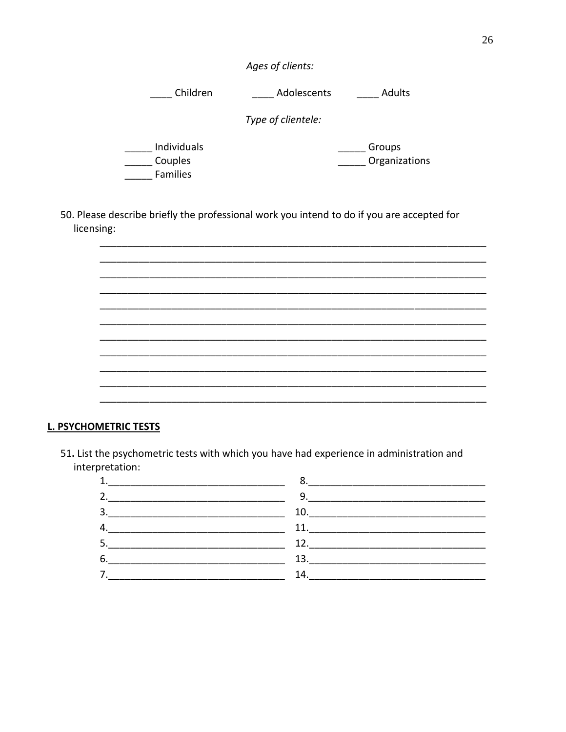| Ages of clients: |  |  |  |
|------------------|--|--|--|
|------------------|--|--|--|

\_\_\_\_\_ Children \_\_\_\_\_\_\_\_ Adolescents \_\_\_\_\_\_\_ Adults

Type of clientele:

\_\_\_\_\_ Individuals \_\_\_\_\_\_ Couples Families

\_\_\_\_\_\_\_ Groups \_\_\_\_\_\_ Organizations

50. Please describe briefly the professional work you intend to do if you are accepted for licensing:

L. PSYCHOMETRIC TESTS

51. List the psychometric tests with which you have had experience in administration and interpretation:

| 1. | 8.                            |  |
|----|-------------------------------|--|
| 2. | $9. \underline{\hspace{2cm}}$ |  |
| 3. | 10.                           |  |
| 4. | 11.                           |  |
| 5. | 12.                           |  |
| 6. | 13.                           |  |
| 7. | 14.                           |  |
|    |                               |  |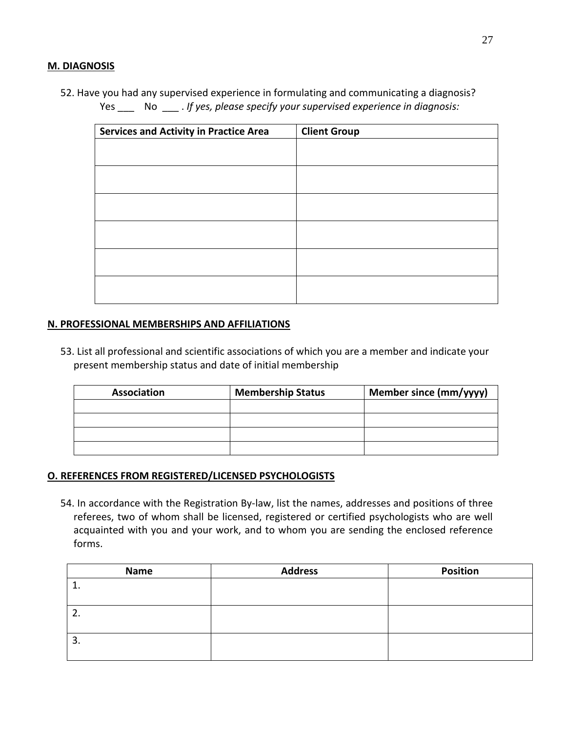### **M. DIAGNOSIS**

52. Have you had any supervised experience in formulating and communicating a diagnosis? Yes \_\_\_ No \_\_\_ . *If yes, please specify your supervised experience in diagnosis:*

| <b>Services and Activity in Practice Area</b> | <b>Client Group</b> |
|-----------------------------------------------|---------------------|
|                                               |                     |
|                                               |                     |
|                                               |                     |
|                                               |                     |
|                                               |                     |
|                                               |                     |
|                                               |                     |
|                                               |                     |
|                                               |                     |
|                                               |                     |
|                                               |                     |
|                                               |                     |

#### **N. PROFESSIONAL MEMBERSHIPS AND AFFILIATIONS**

53. List all professional and scientific associations of which you are a member and indicate your present membership status and date of initial membership

| <b>Association</b> | <b>Membership Status</b> | Member since (mm/yyyy) |
|--------------------|--------------------------|------------------------|
|                    |                          |                        |
|                    |                          |                        |
|                    |                          |                        |
|                    |                          |                        |

#### **O. REFERENCES FROM REGISTERED/LICENSED PSYCHOLOGISTS**

54. In accordance with the Registration By-law, list the names, addresses and positions of three referees, two of whom shall be licensed, registered or certified psychologists who are well acquainted with you and your work, and to whom you are sending the enclosed reference forms.

| Name | <b>Address</b> | <b>Position</b> |
|------|----------------|-----------------|
| ᅶ    |                |                 |
| z.   |                |                 |
| 3.   |                |                 |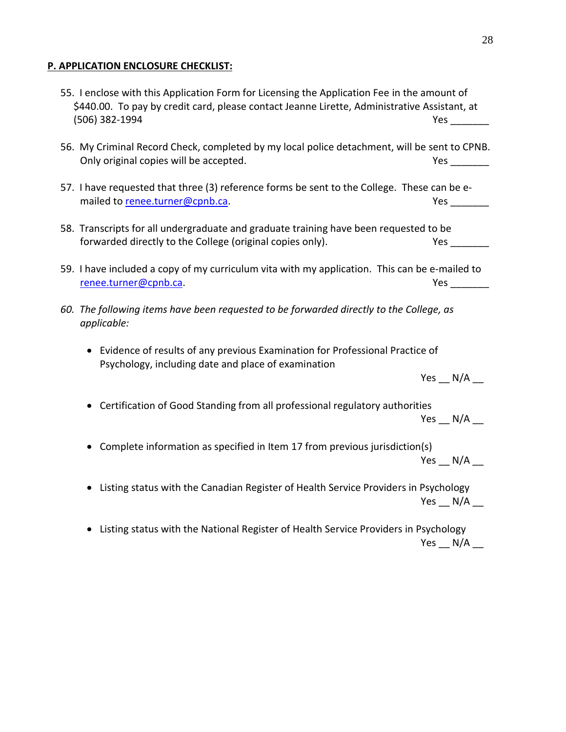# **P. APPLICATION ENCLOSURE CHECKLIST:**

| 55. I enclose with this Application Form for Licensing the Application Fee in the amount of<br>\$440.00. To pay by credit card, please contact Jeanne Lirette, Administrative Assistant, at<br>(506) 382-1994 | <b>Yes</b>                            |
|---------------------------------------------------------------------------------------------------------------------------------------------------------------------------------------------------------------|---------------------------------------|
| 56. My Criminal Record Check, completed by my local police detachment, will be sent to CPNB.<br>Only original copies will be accepted.                                                                        |                                       |
| 57. I have requested that three (3) reference forms be sent to the College. These can be e-<br>mailed to renee.turner@cpnb.ca.                                                                                | <b>Yes</b>                            |
| 58. Transcripts for all undergraduate and graduate training have been requested to be<br>forwarded directly to the College (original copies only).                                                            | <b>Yes</b>                            |
| 59. I have included a copy of my curriculum vita with my application. This can be e-mailed to<br>renee.turner@cpnb.ca.                                                                                        | <b>Yes</b>                            |
| 60. The following items have been requested to be forwarded directly to the College, as<br>applicable:                                                                                                        |                                       |
| • Evidence of results of any previous Examination for Professional Practice of<br>Psychology, including date and place of examination                                                                         |                                       |
| • Certification of Good Standing from all professional regulatory authorities                                                                                                                                 | Yes $\_\,$ N/A $\_\$<br>Yes _ $N/A$ _ |
| • Complete information as specified in Item 17 from previous jurisdiction(s)                                                                                                                                  | $Yes \_ N/A$                          |
| Listing status with the Canadian Register of Health Service Providers in Psychology                                                                                                                           | Yes __ N/A __                         |
| Listing status with the National Register of Health Service Providers in Psychology                                                                                                                           | Yes N/A                               |